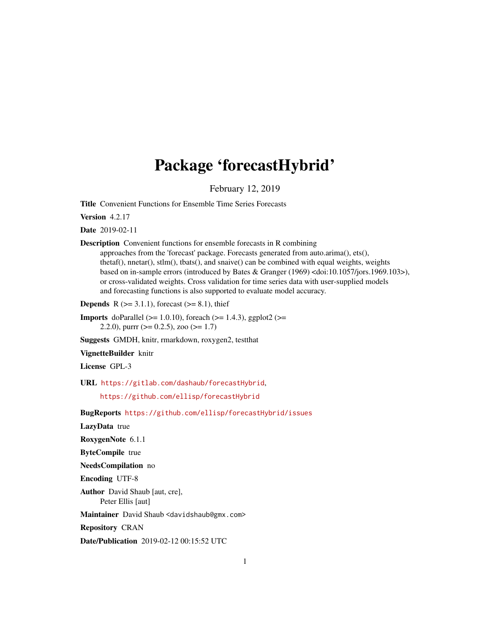# Package 'forecastHybrid'

February 12, 2019

<span id="page-0-0"></span>Title Convenient Functions for Ensemble Time Series Forecasts

Version 4.2.17

Date 2019-02-11

Description Convenient functions for ensemble forecasts in R combining

approaches from the 'forecast' package. Forecasts generated from auto.arima(), ets(), thetaf(), nnetar(), stlm(), tbats(), and snaive() can be combined with equal weights, weights based on in-sample errors (introduced by Bates & Granger (1969) <doi:10.1057/jors.1969.103>), or cross-validated weights. Cross validation for time series data with user-supplied models and forecasting functions is also supported to evaluate model accuracy.

**Depends** R ( $>= 3.1.1$ ), forecast ( $>= 8.1$ ), thief

**Imports** doParallel ( $> = 1.0.10$ ), foreach ( $> = 1.4.3$ ), ggplot2 ( $> =$ 2.2.0), purrr ( $> = 0.2.5$ ), zoo ( $> = 1.7$ )

Suggests GMDH, knitr, rmarkdown, roxygen2, testthat

VignetteBuilder knitr

License GPL-3

URL <https://gitlab.com/dashaub/forecastHybrid>,

<https://github.com/ellisp/forecastHybrid>

BugReports <https://github.com/ellisp/forecastHybrid/issues>

LazyData true

RoxygenNote 6.1.1

ByteCompile true

NeedsCompilation no

Encoding UTF-8

Author David Shaub [aut, cre], Peter Ellis [aut]

Maintainer David Shaub <davidshaub@gmx.com>

Repository CRAN

Date/Publication 2019-02-12 00:15:52 UTC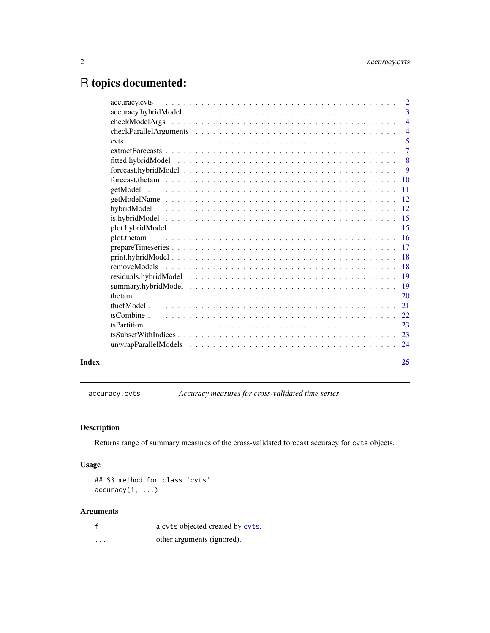## <span id="page-1-0"></span>R topics documented:

|       |          | $\overline{3}$            |
|-------|----------|---------------------------|
|       |          | $\overline{4}$            |
|       |          | $\overline{4}$            |
|       |          | $\overline{5}$            |
|       |          | $\overline{7}$            |
|       |          | $\overline{\phantom{0}}8$ |
|       |          | 9                         |
|       |          |                           |
|       | getModel | $\overline{11}$           |
|       |          |                           |
|       |          |                           |
|       |          |                           |
|       |          |                           |
|       |          |                           |
|       |          |                           |
|       |          |                           |
|       |          |                           |
|       |          |                           |
|       |          |                           |
|       |          |                           |
|       |          |                           |
|       |          |                           |
|       |          |                           |
|       |          |                           |
|       |          |                           |
| Index |          | 25                        |

<span id="page-1-1"></span>accuracy.cvts *Accuracy measures for cross-validated time series*

#### Description

Returns range of summary measures of the cross-validated forecast accuracy for cvts objects.

#### Usage

```
## S3 method for class 'cvts'
accuracy(f, ...)
```

|          | a cvts objected created by cvts. |
|----------|----------------------------------|
| $\cdots$ | other arguments (ignored).       |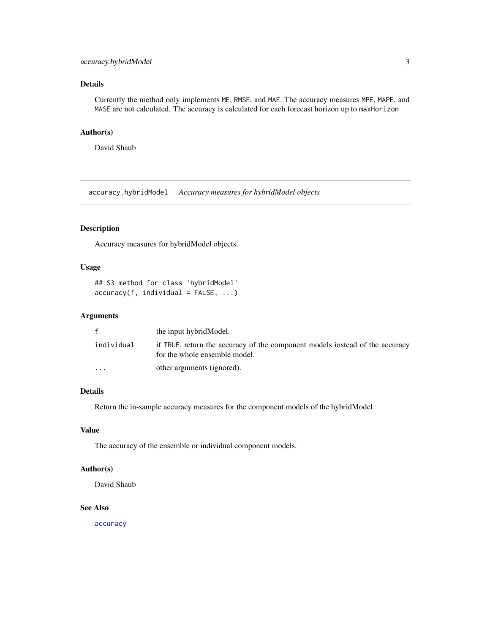#### <span id="page-2-0"></span>accuracy.hybridModel 3

#### Details

Currently the method only implements ME, RMSE, and MAE. The accuracy measures MPE, MAPE, and MASE are not calculated. The accuracy is calculated for each forecast horizon up to maxHorizon

#### Author(s)

David Shaub

accuracy.hybridModel *Accuracy measures for hybridModel objects*

#### Description

Accuracy measures for hybridModel objects.

#### Usage

```
## S3 method for class 'hybridModel'
accuracy(f, individual = FALSE, ...)
```
#### Arguments

|            | the input hybrid Model.                                                                                       |
|------------|---------------------------------------------------------------------------------------------------------------|
| individual | if TRUE, return the accuracy of the component models instead of the accuracy<br>for the whole ensemble model. |
| $\ddotsc$  | other arguments (ignored).                                                                                    |

#### Details

Return the in-sample accuracy measures for the component models of the hybridModel

#### Value

The accuracy of the ensemble or individual component models.

#### Author(s)

David Shaub

#### See Also

[accuracy](#page-0-0)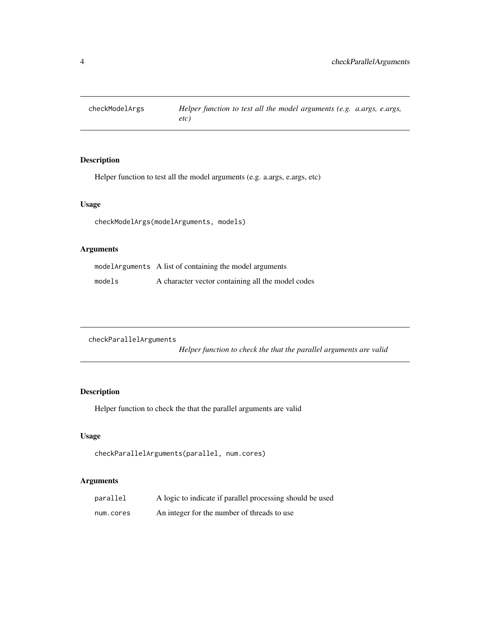<span id="page-3-0"></span>

Helper function to test all the model arguments (e.g. a.args, e.args, etc)

#### Usage

```
checkModelArgs(modelArguments, models)
```
#### Arguments

|        | model Arguments A list of containing the model arguments |
|--------|----------------------------------------------------------|
| models | A character vector containing all the model codes        |

```
checkParallelArguments
```
*Helper function to check the that the parallel arguments are valid*

#### Description

Helper function to check the that the parallel arguments are valid

#### Usage

```
checkParallelArguments(parallel, num.cores)
```

| parallel  | A logic to indicate if parallel processing should be used |
|-----------|-----------------------------------------------------------|
| num.cores | An integer for the number of threads to use               |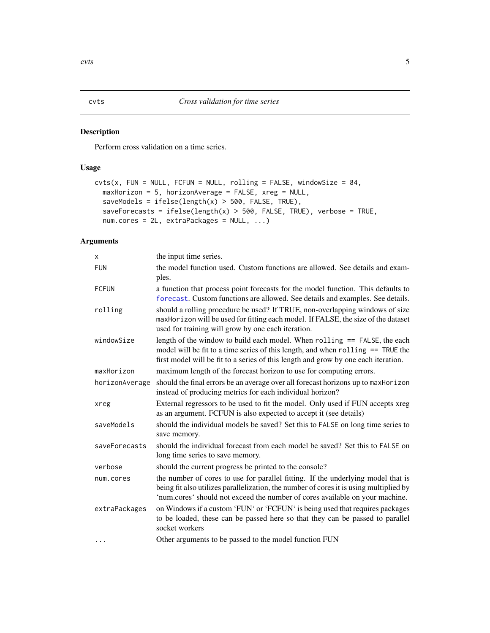<span id="page-4-1"></span><span id="page-4-0"></span>Perform cross validation on a time series.

#### Usage

```
cuts(x, FUN = NULL, FCFUN = NULL, rolling = FALSE, windowSize = 84,maxHorizon = 5, horizonAverage = FALSE, xreg = NULL,
  saveModels = ifelse(length(x) > 500, FALSE, TRUE),saveForecasts = ifelse(length(x) > 500, FALSE, TRUE), verbose = TRUE,
 num.cores = 2L, extraPackages = NULL, ...)
```

| X              | the input time series.                                                                                                                                                                                                                                     |
|----------------|------------------------------------------------------------------------------------------------------------------------------------------------------------------------------------------------------------------------------------------------------------|
| <b>FUN</b>     | the model function used. Custom functions are allowed. See details and exam-<br>ples.                                                                                                                                                                      |
| <b>FCFUN</b>   | a function that process point forecasts for the model function. This defaults to<br>forecast. Custom functions are allowed. See details and examples. See details.                                                                                         |
| rolling        | should a rolling procedure be used? If TRUE, non-overlapping windows of size<br>maxHorizon will be used for fitting each model. If FALSE, the size of the dataset<br>used for training will grow by one each iteration.                                    |
| windowSize     | length of the window to build each model. When $rolling == FALSE$ , the each<br>model will be fit to a time series of this length, and when rolling == TRUE the<br>first model will be fit to a series of this length and grow by one each iteration.      |
| maxHorizon     | maximum length of the forecast horizon to use for computing errors.                                                                                                                                                                                        |
| horizonAverage | should the final errors be an average over all forecast horizons up to maxhorizon<br>instead of producing metrics for each individual horizon?                                                                                                             |
| xreg           | External regressors to be used to fit the model. Only used if FUN accepts xreg<br>as an argument. FCFUN is also expected to accept it (see details)                                                                                                        |
| saveModels     | should the individual models be saved? Set this to FALSE on long time series to<br>save memory.                                                                                                                                                            |
| saveForecasts  | should the individual forecast from each model be saved? Set this to FALSE on<br>long time series to save memory.                                                                                                                                          |
| verbose        | should the current progress be printed to the console?                                                                                                                                                                                                     |
| num.cores      | the number of cores to use for parallel fitting. If the underlying model that is<br>being fit also utilizes parallelization, the number of cores it is using multiplied by<br>'num.cores' should not exceed the number of cores available on your machine. |
| extraPackages  | on Windows if a custom 'FUN' or 'FCFUN' is being used that requires packages<br>to be loaded, these can be passed here so that they can be passed to parallel<br>socket workers                                                                            |
| $\cdots$       | Other arguments to be passed to the model function FUN                                                                                                                                                                                                     |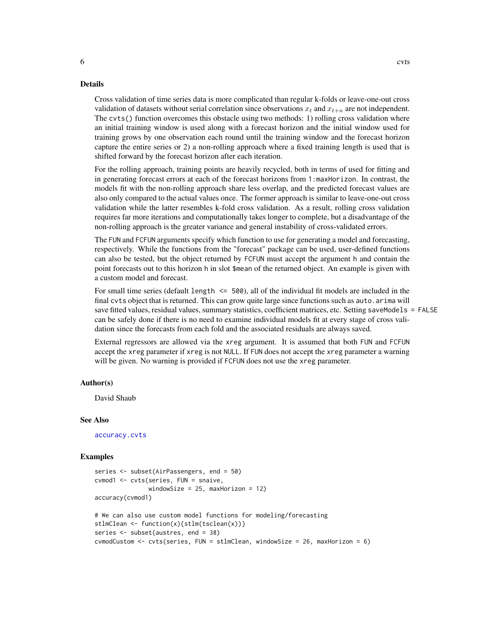#### <span id="page-5-0"></span>Details

Cross validation of time series data is more complicated than regular k-folds or leave-one-out cross validation of datasets without serial correlation since observations  $x_t$  and  $x_{t+n}$  are not independent. The cvts() function overcomes this obstacle using two methods: 1) rolling cross validation where an initial training window is used along with a forecast horizon and the initial window used for training grows by one observation each round until the training window and the forecast horizon capture the entire series or 2) a non-rolling approach where a fixed training length is used that is shifted forward by the forecast horizon after each iteration.

For the rolling approach, training points are heavily recycled, both in terms of used for fitting and in generating forecast errors at each of the forecast horizons from 1:maxHorizon. In contrast, the models fit with the non-rolling approach share less overlap, and the predicted forecast values are also only compared to the actual values once. The former approach is similar to leave-one-out cross validation while the latter resembles k-fold cross validation. As a result, rolling cross validation requires far more iterations and computationally takes longer to complete, but a disadvantage of the non-rolling approach is the greater variance and general instability of cross-validated errors.

The FUN and FCFUN arguments specify which function to use for generating a model and forecasting, respectively. While the functions from the "forecast" package can be used, user-defined functions can also be tested, but the object returned by FCFUN must accept the argument h and contain the point forecasts out to this horizon h in slot \$mean of the returned object. An example is given with a custom model and forecast.

For small time series (default length  $\leq$  500), all of the individual fit models are included in the final cvts object that is returned. This can grow quite large since functions such as auto. arima will save fitted values, residual values, summary statistics, coefficient matrices, etc. Setting saveModels = FALSE can be safely done if there is no need to examine individual models fit at every stage of cross validation since the forecasts from each fold and the associated residuals are always saved.

External regressors are allowed via the xreg argument. It is assumed that both FUN and FCFUN accept the xreg parameter if xreg is not NULL. If FUN does not accept the xreg parameter a warning will be given. No warning is provided if FCFUN does not use the xreg parameter.

#### Author(s)

David Shaub

#### See Also

[accuracy.cvts](#page-1-1)

#### Examples

```
series <- subset(AirPassengers, end = 50)
cvmod1 <- cvts(series, FUN = snaive,
               windowSize = 25, maxHorizon = 12)
accuracy(cvmod1)
# We can also use custom model functions for modeling/forecasting
stlmClean <- function(x){stlm(tsclean(x))}
series <- subset(austres, end = 38)
cvmodCustom <- cvts(series, FUN = stlmClean, windowSize = 26, maxHorizon = 6)
```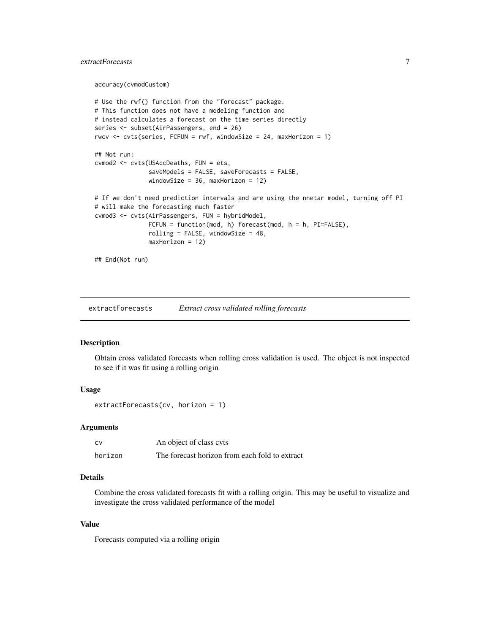#### <span id="page-6-0"></span>extractForecasts 7

accuracy(cvmodCustom)

```
# Use the rwf() function from the "forecast" package.
# This function does not have a modeling function and
# instead calculates a forecast on the time series directly
series <- subset(AirPassengers, end = 26)
rwcv \le cvts(series, FCFUN = rwf, windowSize = 24, maxHorizon = 1)
## Not run:
cvmod2 <- cvts(USAccDeaths, FUN = ets,
               saveModels = FALSE, saveForecasts = FALSE,
              windowSize = 36, maxHorizon = 12)
# If we don't need prediction intervals and are using the nnetar model, turning off PI
# will make the forecasting much faster
cvmod3 <- cvts(AirPassengers, FUN = hybridModel,
               FCFUN = function(mod, h) forecast(mod, h = h, PI=FALSE),
               rolling = FALSE, windowSize = 48,
              maxHorizon = 12)
```
## End(Not run)

extractForecasts *Extract cross validated rolling forecasts*

#### Description

Obtain cross validated forecasts when rolling cross validation is used. The object is not inspected to see if it was fit using a rolling origin

#### Usage

```
extractForecasts(cv, horizon = 1)
```
#### Arguments

| – C.V   | An object of class cvts                        |
|---------|------------------------------------------------|
| horizon | The forecast horizon from each fold to extract |

#### Details

Combine the cross validated forecasts fit with a rolling origin. This may be useful to visualize and investigate the cross validated performance of the model

#### Value

Forecasts computed via a rolling origin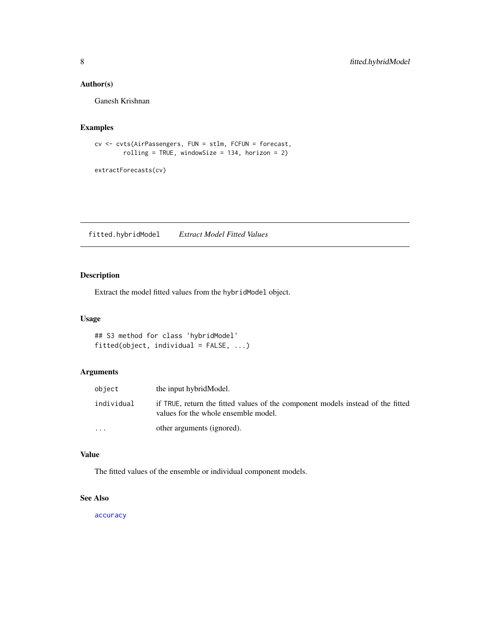#### <span id="page-7-0"></span>Author(s)

Ganesh Krishnan

#### Examples

```
cv <- cvts(AirPassengers, FUN = stlm, FCFUN = forecast,
        rolling = TRUE, windowSize = 134, horizon = 2)
```
extractForecasts(cv)

fitted.hybridModel *Extract Model Fitted Values*

#### Description

Extract the model fitted values from the hybridModel object.

### Usage

## S3 method for class 'hybridModel' fitted(object, individual = FALSE, ...)

#### Arguments

| object                  | the input hybridModel.                                                                                                  |
|-------------------------|-------------------------------------------------------------------------------------------------------------------------|
| individual              | if TRUE, return the fitted values of the component models instead of the fitted<br>values for the whole ensemble model. |
| $\cdot$ $\cdot$ $\cdot$ | other arguments (ignored).                                                                                              |

#### Value

The fitted values of the ensemble or individual component models.

#### See Also

[accuracy](#page-0-0)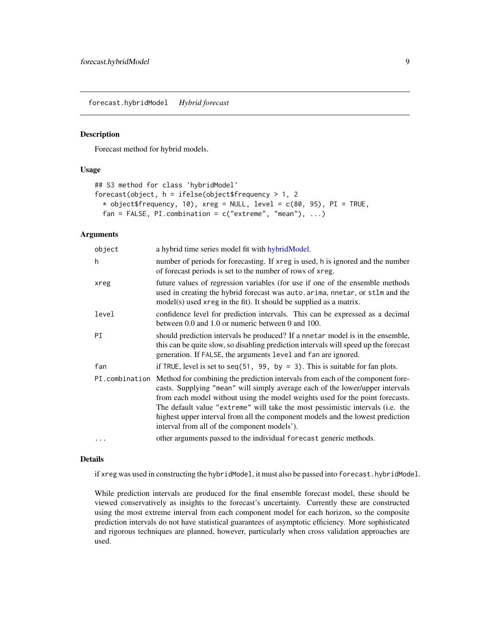<span id="page-8-1"></span><span id="page-8-0"></span>forecast.hybridModel *Hybrid forecast*

#### Description

Forecast method for hybrid models.

#### Usage

```
## S3 method for class 'hybridModel'
forecast(object, h = ifelse(object$frequency > 1, 2
  * object$frequency, 10), xreg = NULL, level = c(80, 95), PI = TRUE,
 fan = FALSE, PI.combination = c("extreme", "mean"), ...)
```
#### Arguments

| object   | a hybrid time series model fit with hybridModel.                                                                                                                                                                                                                                                                                                                                                                                                                                     |
|----------|--------------------------------------------------------------------------------------------------------------------------------------------------------------------------------------------------------------------------------------------------------------------------------------------------------------------------------------------------------------------------------------------------------------------------------------------------------------------------------------|
| h        | number of periods for forecasting. If xreg is used, h is ignored and the number<br>of forecast periods is set to the number of rows of xreg.                                                                                                                                                                                                                                                                                                                                         |
| xreg     | future values of regression variables (for use if one of the ensemble methods<br>used in creating the hybrid forecast was auto. arima, nnetar, or stlm and the<br>$model(s)$ used xreg in the fit). It should be supplied as a matrix.                                                                                                                                                                                                                                               |
| level    | confidence level for prediction intervals. This can be expressed as a decimal<br>between 0.0 and 1.0 or numeric between 0 and 100.                                                                                                                                                                                                                                                                                                                                                   |
| PI       | should prediction intervals be produced? If a nnetar model is in the ensemble,<br>this can be quite slow, so disabling prediction intervals will speed up the forecast<br>generation. If FALSE, the arguments level and fan are ignored.                                                                                                                                                                                                                                             |
| fan      | if TRUE, level is set to seq $(51, 99, by = 3)$ . This is suitable for fan plots.                                                                                                                                                                                                                                                                                                                                                                                                    |
|          | PI. combination Method for combining the prediction intervals from each of the component fore-<br>casts. Supplying "mean" will simply average each of the lower/upper intervals<br>from each model without using the model weights used for the point forecasts.<br>The default value "extreme" will take the most pessimistic intervals (i.e. the<br>highest upper interval from all the component models and the lowest prediction<br>interval from all of the component models'). |
| $\cdots$ | other arguments passed to the individual forecast generic methods.                                                                                                                                                                                                                                                                                                                                                                                                                   |

#### Details

if xreg was used in constructing the hybridModel, it must also be passed into forecast.hybridModel.

While prediction intervals are produced for the final ensemble forecast model, these should be viewed conservatively as insights to the forecast's uncertainty. Currently these are constructed using the most extreme interval from each component model for each horizon, so the composite prediction intervals do not have statistical guarantees of asymptotic efficiency. More sophisticated and rigorous techniques are planned, however, particularly when cross validation approaches are used.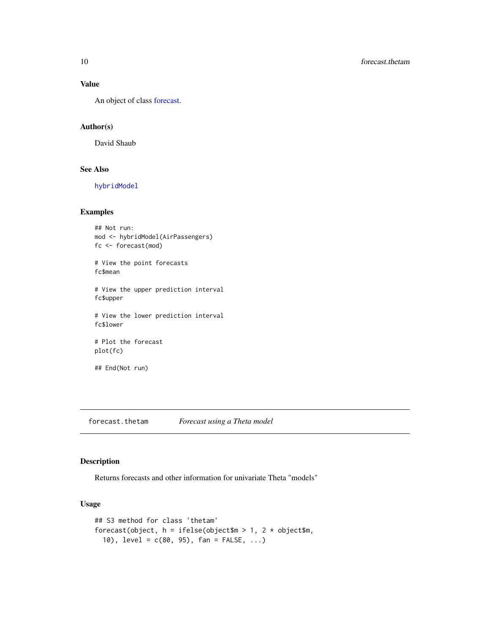#### Value

An object of class [forecast.](#page-0-0)

#### Author(s)

David Shaub

#### See Also

[hybridModel](#page-11-1)

#### Examples

```
## Not run:
mod <- hybridModel(AirPassengers)
fc <- forecast(mod)
# View the point forecasts
fc$mean
# View the upper prediction interval
fc$upper
# View the lower prediction interval
fc$lower
# Plot the forecast
plot(fc)
## End(Not run)
```
<span id="page-9-1"></span>forecast.thetam *Forecast using a Theta model*

#### Description

Returns forecasts and other information for univariate Theta "models"

#### Usage

```
## S3 method for class 'thetam'
forecast(object, h = ifelse(object\ = 1, 2 * object$m,
  10), level = c(80, 95), fan = FALSE, ...)
```
<span id="page-9-0"></span>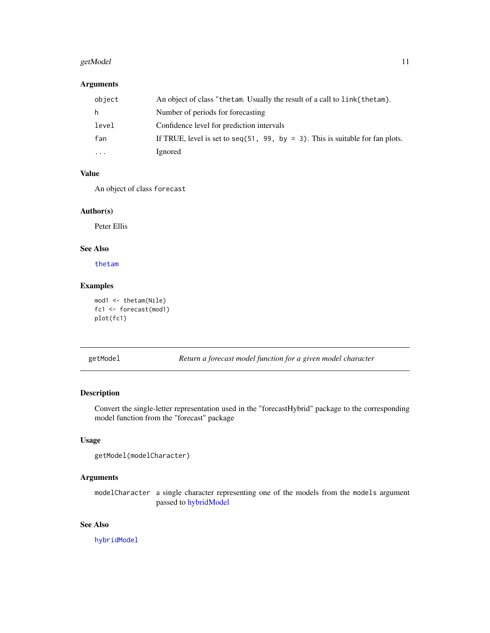#### <span id="page-10-0"></span>getModel 11

#### Arguments

| object   | An object of class "thetam. Usually the result of a call to link { thetam }.   |
|----------|--------------------------------------------------------------------------------|
| h.       | Number of periods for forecasting                                              |
| level    | Confidence level for prediction intervals                                      |
| fan      | If TRUE, level is set to seq (51, 99, by = 3). This is suitable for fan plots. |
| $\cdots$ | Ignored                                                                        |

#### Value

An object of class forecast

#### Author(s)

Peter Ellis

#### See Also

[thetam](#page-19-1)

#### Examples

```
mod1 <- thetam(Nile)
fc1 <- forecast(mod1)
plot(fc1)
```
getModel *Return a forecast model function for a given model character*

#### Description

Convert the single-letter representation used in the "forecastHybrid" package to the corresponding model function from the "forecast" package

#### Usage

```
getModel(modelCharacter)
```
#### Arguments

modelCharacter a single character representing one of the models from the models argument passed to [hybridModel](#page-11-1)

#### See Also

[hybridModel](#page-11-1)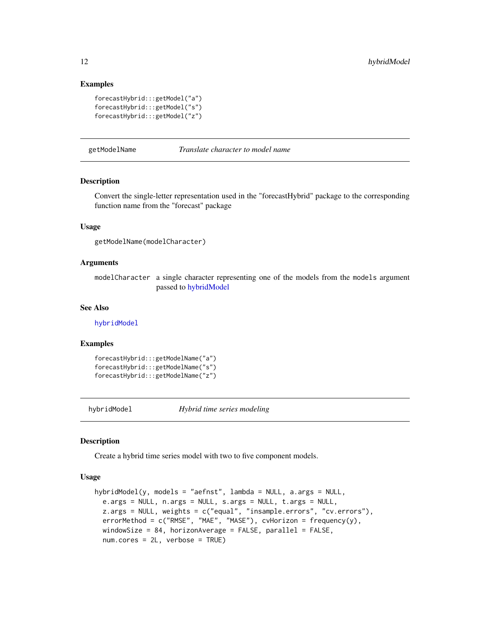#### Examples

```
forecastHybrid:::getModel("a")
forecastHybrid:::getModel("s")
forecastHybrid:::getModel("z")
```
getModelName *Translate character to model name*

#### Description

Convert the single-letter representation used in the "forecastHybrid" package to the corresponding function name from the "forecast" package

#### Usage

getModelName(modelCharacter)

#### Arguments

modelCharacter a single character representing one of the models from the models argument passed to [hybridModel](#page-11-1)

#### See Also

[hybridModel](#page-11-1)

#### Examples

```
forecastHybrid:::getModelName("a")
forecastHybrid:::getModelName("s")
forecastHybrid:::getModelName("z")
```
<span id="page-11-1"></span>hybridModel *Hybrid time series modeling*

#### Description

Create a hybrid time series model with two to five component models.

#### Usage

```
hybridModel(y, models = "aefnst", lambda = NULL, a.args = NULL,
  e.args = NULL, n.args = NULL, s.args = NULL, t.args = NULL,
  z.args = NULL, weights = c("equal", "insample.errors", "cv.errors"),
  errorMethod = c("RMSE", "MAE", "MASE"), cvHorizon = frequency(y),
 windowSize = 84, horizonAverage = FALSE, parallel = FALSE,
  num.cores = 2L, verbose = TRUE)
```
<span id="page-11-0"></span>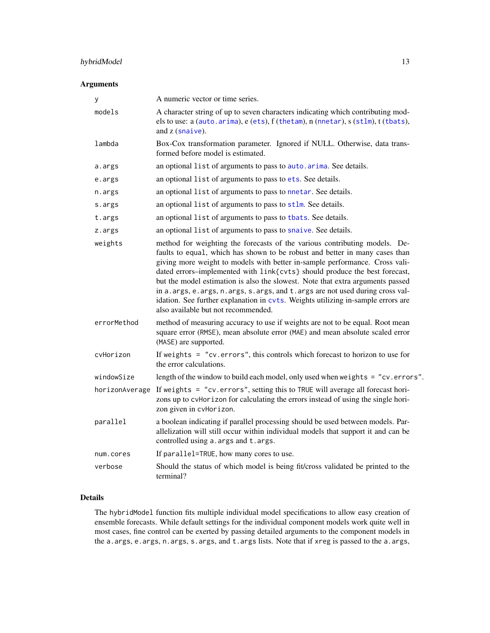#### <span id="page-12-0"></span>hybridModel 13

#### Arguments

| у              | A numeric vector or time series.                                                                                                                                                                                                                                                                                                                                                                                                                                                                                                                                                                                         |
|----------------|--------------------------------------------------------------------------------------------------------------------------------------------------------------------------------------------------------------------------------------------------------------------------------------------------------------------------------------------------------------------------------------------------------------------------------------------------------------------------------------------------------------------------------------------------------------------------------------------------------------------------|
| models         | A character string of up to seven characters indicating which contributing mod-<br>els to use: a (auto.arima), e (ets), f (thetam), n (nnetar), s (stlm), t (tbats),<br>and $z$ (snaive).                                                                                                                                                                                                                                                                                                                                                                                                                                |
| lambda         | Box-Cox transformation parameter. Ignored if NULL. Otherwise, data trans-<br>formed before model is estimated.                                                                                                                                                                                                                                                                                                                                                                                                                                                                                                           |
| a.args         | an optional list of arguments to pass to auto. arima. See details.                                                                                                                                                                                                                                                                                                                                                                                                                                                                                                                                                       |
| e.args         | an optional list of arguments to pass to ets. See details.                                                                                                                                                                                                                                                                                                                                                                                                                                                                                                                                                               |
| n.args         | an optional list of arguments to pass to nnetar. See details.                                                                                                                                                                                                                                                                                                                                                                                                                                                                                                                                                            |
| s.args         | an optional list of arguments to pass to stlm. See details.                                                                                                                                                                                                                                                                                                                                                                                                                                                                                                                                                              |
| t.args         | an optional list of arguments to pass to tbats. See details.                                                                                                                                                                                                                                                                                                                                                                                                                                                                                                                                                             |
| z.args         | an optional list of arguments to pass to snaive. See details.                                                                                                                                                                                                                                                                                                                                                                                                                                                                                                                                                            |
| weights        | method for weighting the forecasts of the various contributing models. De-<br>faults to equal, which has shown to be robust and better in many cases than<br>giving more weight to models with better in-sample performance. Cross vali-<br>dated errors-implemented with link{cvts} should produce the best forecast,<br>but the model estimation is also the slowest. Note that extra arguments passed<br>in a. args, e. args, n. args, s. args, and t. args are not used during cross val-<br>idation. See further explanation in cvts. Weights utilizing in-sample errors are<br>also available but not recommended. |
| errorMethod    | method of measuring accuracy to use if weights are not to be equal. Root mean<br>square error (RMSE), mean absolute error (MAE) and mean absolute scaled error<br>(MASE) are supported.                                                                                                                                                                                                                                                                                                                                                                                                                                  |
| cvHorizon      | If weights = $"cv. errors", this controls which forecast to horizon to use for$<br>the error calculations.                                                                                                                                                                                                                                                                                                                                                                                                                                                                                                               |
| windowSize     | length of the window to build each model, only used when weights = "cv.errors".                                                                                                                                                                                                                                                                                                                                                                                                                                                                                                                                          |
| horizonAverage | If weights = "cv.errors", setting this to TRUE will average all forecast hori-<br>zons up to cvHorizon for calculating the errors instead of using the single hori-<br>zon given in cvHorizon.                                                                                                                                                                                                                                                                                                                                                                                                                           |
| parallel       | a boolean indicating if parallel processing should be used between models. Par-<br>allelization will still occur within individual models that support it and can be<br>controlled using a. args and t. args.                                                                                                                                                                                                                                                                                                                                                                                                            |
| num.cores      | If parallel=TRUE, how many cores to use.                                                                                                                                                                                                                                                                                                                                                                                                                                                                                                                                                                                 |
| verbose        | Should the status of which model is being fit/cross validated be printed to the<br>terminal?                                                                                                                                                                                                                                                                                                                                                                                                                                                                                                                             |

#### Details

The hybridModel function fits multiple individual model specifications to allow easy creation of ensemble forecasts. While default settings for the individual component models work quite well in most cases, fine control can be exerted by passing detailed arguments to the component models in the a.args, e.args, n.args, s.args, and t.args lists. Note that if xreg is passed to the a.args,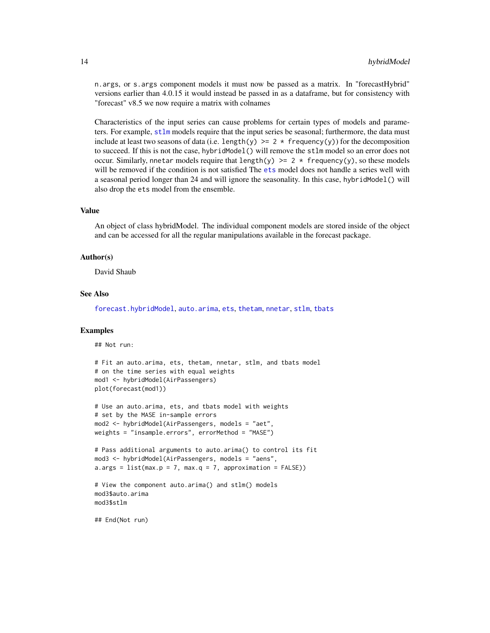<span id="page-13-0"></span>n.args, or s.args component models it must now be passed as a matrix. In "forecastHybrid" versions earlier than 4.0.15 it would instead be passed in as a dataframe, but for consistency with "forecast" v8.5 we now require a matrix with colnames

Characteristics of the input series can cause problems for certain types of models and parameters. For example, [stlm](#page-0-0) models require that the input series be seasonal; furthermore, the data must include at least two seasons of data (i.e. length(y)  $\geq 2$  \* frequency(y)) for the decomposition to succeed. If this is not the case, hybridModel() will remove the stlm model so an error does not occur. Similarly, nnetar models require that length(y)  $\geq 2$  \* frequency(y), so these models will be removed if the condition is not satisfied The [ets](#page-0-0) model does not handle a series well with a seasonal period longer than 24 and will ignore the seasonality. In this case, hybridModel() will also drop the ets model from the ensemble.

#### Value

An object of class hybridModel. The individual component models are stored inside of the object and can be accessed for all the regular manipulations available in the forecast package.

#### Author(s)

David Shaub

#### See Also

[forecast.hybridModel](#page-8-1), [auto.arima](#page-0-0), [ets](#page-0-0), [thetam](#page-19-1), [nnetar](#page-0-0), [stlm](#page-0-0), [tbats](#page-0-0)

#### Examples

## Not run:

```
# Fit an auto.arima, ets, thetam, nnetar, stlm, and tbats model
# on the time series with equal weights
mod1 <- hybridModel(AirPassengers)
plot(forecast(mod1))
# Use an auto.arima, ets, and tbats model with weights
# set by the MASE in-sample errors
mod2 <- hybridModel(AirPassengers, models = "aet",
weights = "insample.errors", errorMethod = "MASE")
```

```
# Pass additional arguments to auto.arima() to control its fit
mod3 <- hybridModel(AirPassengers, models = "aens",
a.\arg s = list(max.p = 7, max.q = 7, approximation = FALSE)
```

```
# View the component auto.arima() and stlm() models
mod3$auto.arima
mod3$stlm
```
## End(Not run)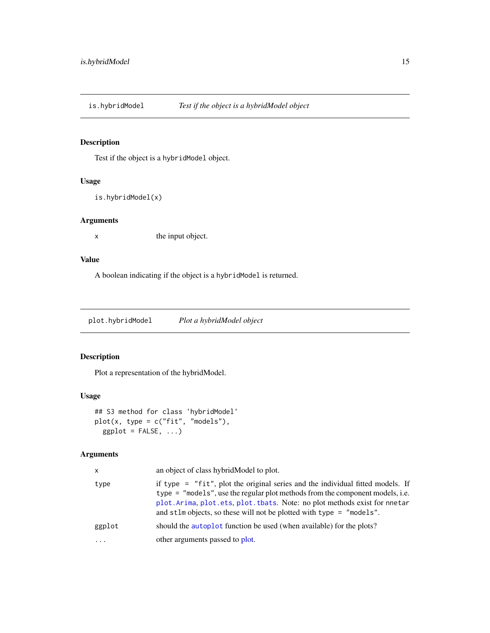<span id="page-14-0"></span>is.hybridModel *Test if the object is a hybridModel object*

#### Description

Test if the object is a hybridModel object.

#### Usage

is.hybridModel(x)

#### Arguments

x the input object.

### Value

A boolean indicating if the object is a hybridModel is returned.

plot.hybridModel *Plot a hybridModel object*

#### Description

Plot a representation of the hybridModel.

#### Usage

```
## S3 method for class 'hybridModel'
plot(x, type = c("fit", "models"),ggplot = FALSE, ...)
```

| x        | an object of class hybrid Model to plot.                                                                                                                                                                                                                                                                                   |
|----------|----------------------------------------------------------------------------------------------------------------------------------------------------------------------------------------------------------------------------------------------------------------------------------------------------------------------------|
| type     | if type $=$ "fit", plot the original series and the individual fitted models. If<br>type = "models", use the regular plot methods from the component models, i.e.<br>plot. Arima, plot. ets, plot. tbats. Note: no plot methods exist for nnetar<br>and stlm objects, so these will not be plotted with type $=$ "models". |
| ggplot   | should the autoplot function be used (when available) for the plots?                                                                                                                                                                                                                                                       |
| $\cdots$ | other arguments passed to plot.                                                                                                                                                                                                                                                                                            |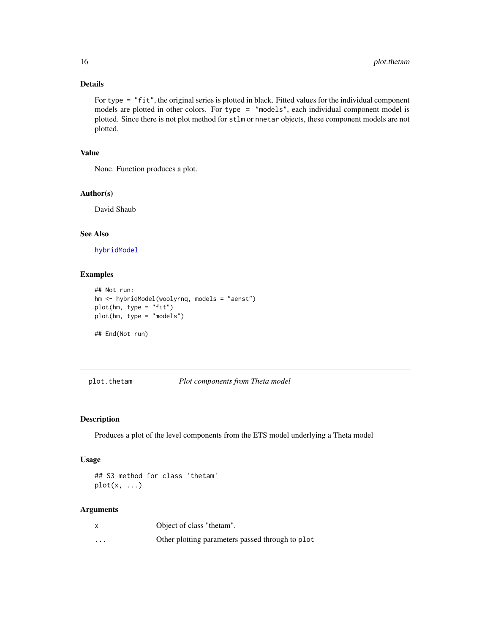#### Details

For type = "fit", the original series is plotted in black. Fitted values for the individual component models are plotted in other colors. For type = "models", each individual component model is plotted. Since there is not plot method for stlm or nnetar objects, these component models are not plotted.

#### Value

None. Function produces a plot.

#### Author(s)

David Shaub

#### See Also

[hybridModel](#page-11-1)

#### Examples

```
## Not run:
hm <- hybridModel(woolyrnq, models = "aenst")
plot(hm, type = "fit")
plot(hm, type = "models")
## End(Not run)
```
plot.thetam *Plot components from Theta model*

#### Description

Produces a plot of the level components from the ETS model underlying a Theta model

#### Usage

## S3 method for class 'thetam'  $plot(x, \ldots)$ 

|                         | Object of class "thetam".                        |
|-------------------------|--------------------------------------------------|
| $\cdot$ $\cdot$ $\cdot$ | Other plotting parameters passed through to plot |

<span id="page-15-0"></span>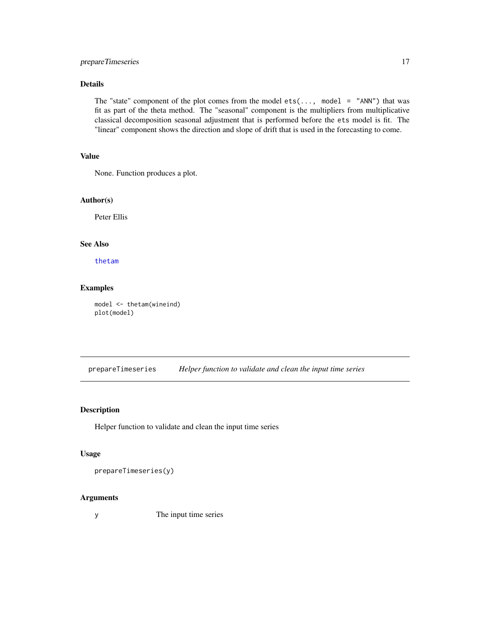#### <span id="page-16-0"></span>prepareTimeseries 17

#### Details

The "state" component of the plot comes from the model  $ets(...,$  model = "ANN") that was fit as part of the theta method. The "seasonal" component is the multipliers from multiplicative classical decomposition seasonal adjustment that is performed before the ets model is fit. The "linear" component shows the direction and slope of drift that is used in the forecasting to come.

#### Value

None. Function produces a plot.

#### Author(s)

Peter Ellis

#### See Also

[thetam](#page-19-1)

#### Examples

model <- thetam(wineind) plot(model)

prepareTimeseries *Helper function to validate and clean the input time series*

#### Description

Helper function to validate and clean the input time series

#### Usage

prepareTimeseries(y)

#### Arguments

y The input time series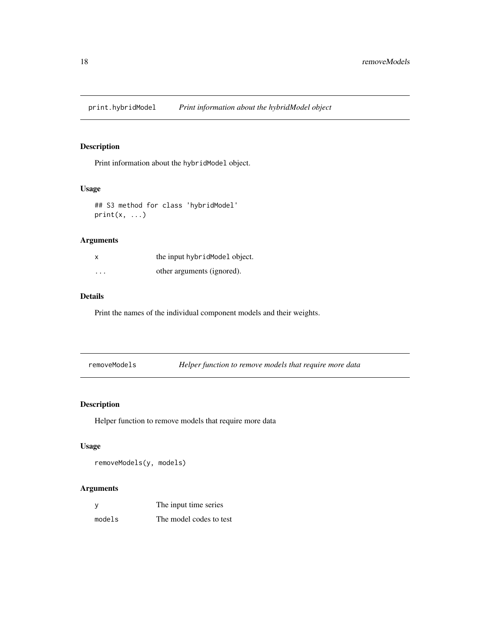<span id="page-17-0"></span>print.hybridModel *Print information about the hybridModel object*

#### Description

Print information about the hybridModel object.

#### Usage

```
## S3 method for class 'hybridModel'
print(x, \ldots)
```
#### Arguments

| x       | the input hybrid Model object. |
|---------|--------------------------------|
| $\cdot$ | other arguments (ignored).     |

#### Details

Print the names of the individual component models and their weights.

| removeModels |  | Helper function to remove models that require more data |  |
|--------------|--|---------------------------------------------------------|--|
|--------------|--|---------------------------------------------------------|--|

#### Description

Helper function to remove models that require more data

#### Usage

```
removeModels(y, models)
```

| У      | The input time series   |
|--------|-------------------------|
| models | The model codes to test |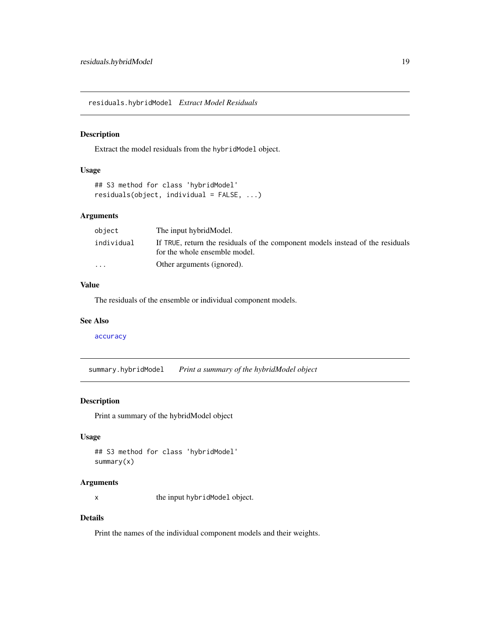<span id="page-18-0"></span>residuals.hybridModel *Extract Model Residuals*

#### Description

Extract the model residuals from the hybridModel object.

#### Usage

```
## S3 method for class 'hybridModel'
residuals(object, individual = FALSE, ...)
```
#### Arguments

| object                  | The input hybridModel.                                                                                          |
|-------------------------|-----------------------------------------------------------------------------------------------------------------|
| individual              | If TRUE, return the residuals of the component models instead of the residuals<br>for the whole ensemble model. |
| $\cdot$ $\cdot$ $\cdot$ | Other arguments (ignored).                                                                                      |

#### Value

The residuals of the ensemble or individual component models.

#### See Also

[accuracy](#page-0-0)

summary.hybridModel *Print a summary of the hybridModel object*

#### Description

Print a summary of the hybridModel object

#### Usage

```
## S3 method for class 'hybridModel'
summary(x)
```
#### Arguments

x the input hybridModel object.

#### Details

Print the names of the individual component models and their weights.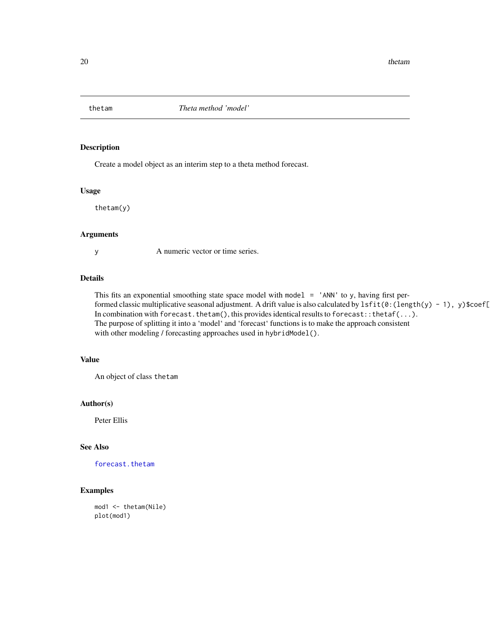<span id="page-19-1"></span><span id="page-19-0"></span>

Create a model object as an interim step to a theta method forecast.

#### Usage

thetam(y)

#### Arguments

y A numeric vector or time series.

#### Details

This fits an exponential smoothing state space model with model  $=$  'ANN' to y, having first performed classic multiplicative seasonal adjustment. A drift value is also calculated by lsfit(0:(length(y) - 1), y)\$coef[ In combination with forecast.thetam(), this provides identical results to forecast::thetaf(...). The purpose of splitting it into a 'model' and 'forecast' functions is to make the approach consistent with other modeling / forecasting approaches used in hybridModel().

#### Value

An object of class thetam

#### Author(s)

Peter Ellis

#### See Also

[forecast.thetam](#page-9-1)

#### Examples

mod1 <- thetam(Nile) plot(mod1)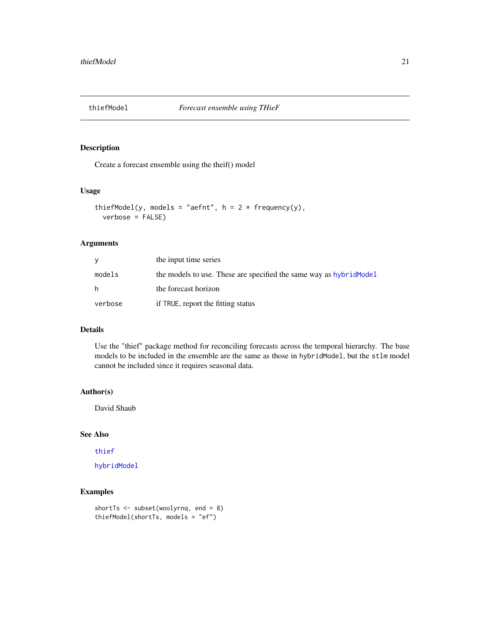<span id="page-20-0"></span>

Create a forecast ensemble using the theif() model

#### Usage

```
thiefModel(y, models = "aefnt", h = 2 * frequency(y),
  verbose = FALSE)
```
#### Arguments

| V       | the input time series                                               |
|---------|---------------------------------------------------------------------|
| models  | the models to use. These are specified the same way as hybrid Model |
| h.      | the forecast horizon                                                |
| verbose | if TRUE, report the fitting status                                  |

#### Details

Use the "thief" package method for reconciling forecasts across the temporal hierarchy. The base models to be included in the ensemble are the same as those in hybridModel, but the stlm model cannot be included since it requires seasonal data.

#### Author(s)

David Shaub

#### See Also

[thief](#page-0-0)

[hybridModel](#page-11-1)

#### Examples

```
shortTs <- subset(woolyrnq, end = 8)
thiefModel(shortTs, models = "ef")
```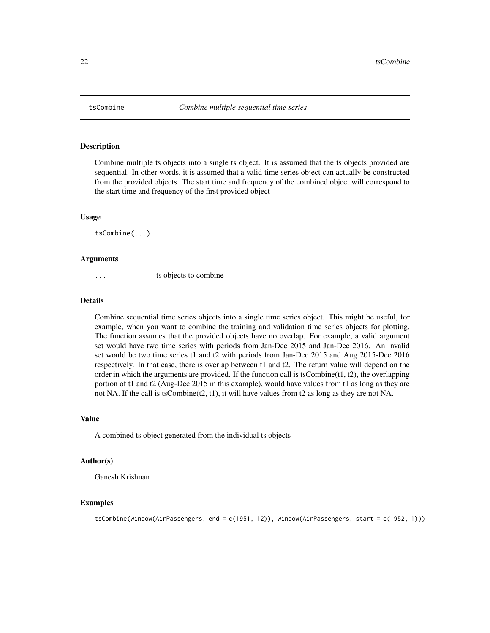<span id="page-21-0"></span>

Combine multiple ts objects into a single ts object. It is assumed that the ts objects provided are sequential. In other words, it is assumed that a valid time series object can actually be constructed from the provided objects. The start time and frequency of the combined object will correspond to the start time and frequency of the first provided object

#### Usage

tsCombine(...)

#### Arguments

... ts objects to combine

#### Details

Combine sequential time series objects into a single time series object. This might be useful, for example, when you want to combine the training and validation time series objects for plotting. The function assumes that the provided objects have no overlap. For example, a valid argument set would have two time series with periods from Jan-Dec 2015 and Jan-Dec 2016. An invalid set would be two time series t1 and t2 with periods from Jan-Dec 2015 and Aug 2015-Dec 2016 respectively. In that case, there is overlap between t1 and t2. The return value will depend on the order in which the arguments are provided. If the function call is tsCombine $(t1, t2)$ , the overlapping portion of t1 and t2 (Aug-Dec 2015 in this example), would have values from t1 as long as they are not NA. If the call is tsCombine( $(2, t1)$ , it will have values from  $t2$  as long as they are not NA.

#### Value

A combined ts object generated from the individual ts objects

#### Author(s)

Ganesh Krishnan

#### Examples

```
tsCombine(window(AirPassengers, end = c(1951, 12)), window(AirPassengers, start = c(1952, 1)))
```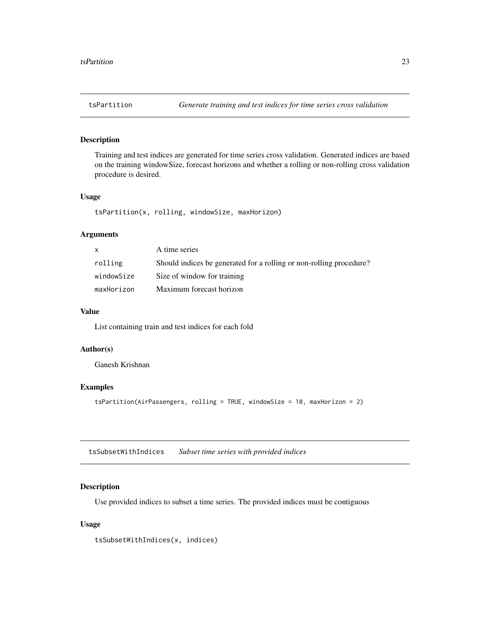<span id="page-22-0"></span>Training and test indices are generated for time series cross validation. Generated indices are based on the training windowSize, forecast horizons and whether a rolling or non-rolling cross validation procedure is desired.

#### Usage

tsPartition(x, rolling, windowSize, maxHorizon)

#### Arguments

|            | A time series                                                       |
|------------|---------------------------------------------------------------------|
| rolling    | Should indices be generated for a rolling or non-rolling procedure? |
| windowSize | Size of window for training                                         |
| maxHorizon | Maximum forecast horizon                                            |

#### Value

List containing train and test indices for each fold

#### Author(s)

Ganesh Krishnan

#### Examples

tsPartition(AirPassengers, rolling = TRUE, windowSize = 10, maxHorizon = 2)

tsSubsetWithIndices *Subset time series with provided indices*

#### Description

Use provided indices to subset a time series. The provided indices must be contiguous

#### Usage

tsSubsetWithIndices(x, indices)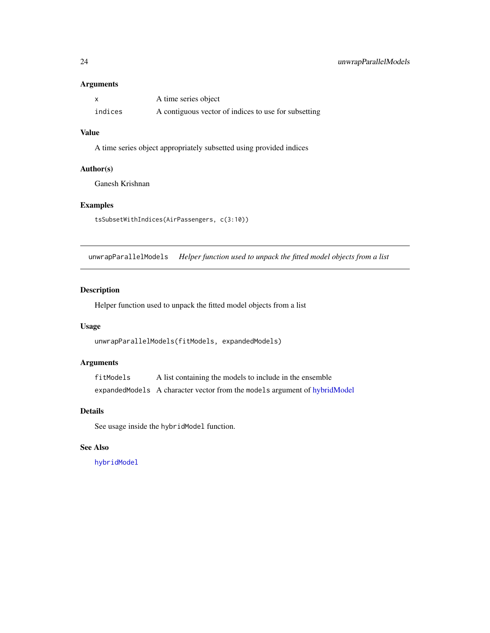#### <span id="page-23-0"></span>Arguments

|         | A time series object                                 |
|---------|------------------------------------------------------|
| indices | A contiguous vector of indices to use for subsetting |

#### Value

A time series object appropriately subsetted using provided indices

#### Author(s)

Ganesh Krishnan

#### Examples

tsSubsetWithIndices(AirPassengers, c(3:10))

unwrapParallelModels *Helper function used to unpack the fitted model objects from a list*

#### Description

Helper function used to unpack the fitted model objects from a list

#### Usage

unwrapParallelModels(fitModels, expandedModels)

#### Arguments

fitModels A list containing the models to include in the ensemble expandedModels A character vector from the models argument of [hybridModel](#page-11-1)

#### Details

See usage inside the hybridModel function.

#### See Also

[hybridModel](#page-11-1)